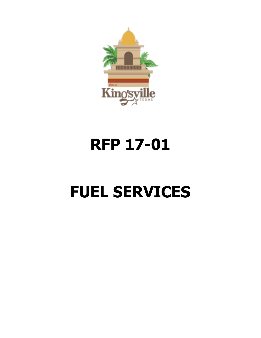

## **RFP 17-01**

# **FUEL SERVICES**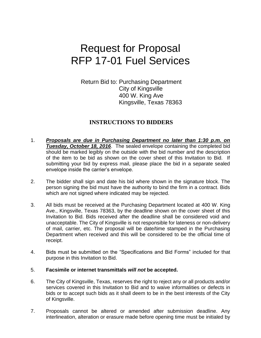## Request for Proposal RFP 17-01 Fuel Services

Return Bid to: Purchasing Department City of Kingsville 400 W. King Ave Kingsville, Texas 78363

#### **INSTRUCTIONS TO BIDDERS**

- 1. *Proposals are due in Purchasing Department no later than 1:30 p.m. on Tuesday, October 18, 2016*. The sealed envelope containing the completed bid should be marked legibly on the outside with the bid number and the description of the item to be bid as shown on the cover sheet of this Invitation to Bid. If submitting your bid by express mail, please place the bid in a separate sealed envelope inside the carrier's envelope.
- 2. The bidder shall sign and date his bid where shown in the signature block. The person signing the bid must have the authority to bind the firm in a contract. Bids which are not signed where indicated may be rejected.
- 3. All bids must be received at the Purchasing Department located at 400 W. King Ave., Kingsville, Texas 78363, by the deadline shown on the cover sheet of this Invitation to Bid. Bids received after the deadline shall be considered void and unacceptable. The City of Kingsville is not responsible for lateness or non-delivery of mail, carrier, etc. The proposal will be date/time stamped in the Purchasing Department when received and this will be considered to be the official time of receipt.
- 4. Bids must be submitted on the "Specifications and Bid Forms" included for that purpose in this Invitation to Bid.

#### 5. **Facsimile or internet transmittals** *will not* **be accepted.**

- 6. The City of Kingsville, Texas, reserves the right to reject any or all products and/or services covered in this Invitation to Bid and to waive informalities or defects in bids or to accept such bids as it shall deem to be in the best interests of the City of Kingsville.
- 7. Proposals cannot be altered or amended after submission deadline. Any interlineation, alteration or erasure made before opening time must be initialed by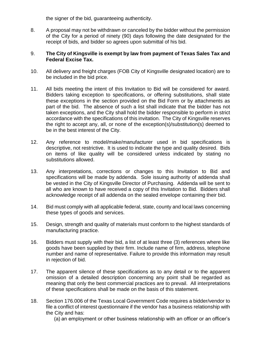the signer of the bid, guaranteeing authenticity.

8. A proposal may not be withdrawn or canceled by the bidder without the permission of the City for a period of ninety (90) days following the date designated for the receipt of bids, and bidder so agrees upon submittal of his bid.

#### 9. **The City of Kingsville is exempt by law from payment of Texas Sales Tax and Federal Excise Tax.**

- 10. All delivery and freight charges (FOB City of Kingsville designated location) are to be included in the bid price.
- 11. All bids meeting the intent of this Invitation to Bid will be considered for award. Bidders taking exception to specifications, or offering substitutions, shall state these exceptions in the section provided on the Bid Form or by attachments as part of the bid. The absence of such a list shall indicate that the bidder has not taken exceptions, and the City shall hold the bidder responsible to perform in strict accordance with the specifications of this invitation. The City of Kingsville reserves the right to accept any, all, or none of the exception(s)/substitution(s) deemed to be in the best interest of the City.
- 12. Any reference to model/make/manufacturer used in bid specifications is descriptive, not restrictive. It is used to indicate the type and quality desired. Bids on items of like quality will be considered unless indicated by stating no substitutions allowed.
- 13. Any interpretations, corrections or changes to this Invitation to Bid and specifications will be made by addenda. Sole issuing authority of addenda shall be vested in the City of Kingsville Director of Purchasing. Addenda will be sent to all who are known to have received a copy of this Invitation to Bid. Bidders shall acknowledge receipt of all addenda on the sealed envelope containing their bid.
- 14. Bid must comply with all applicable federal, state, county and local laws concerning these types of goods and services.
- 15. Design, strength and quality of materials must conform to the highest standards of manufacturing practice.
- 16. Bidders must supply with their bid, a list of at least three (3) references where like goods have been supplied by their firm. Include name of firm, address, telephone number and name of representative. Failure to provide this information may result in rejection of bid.
- 17. The apparent silence of these specifications as to any detail or to the apparent omission of a detailed description concerning any point shall be regarded as meaning that only the best commercial practices are to prevail. All interpretations of these specifications shall be made on the basis of this statement.
- 18. Section 176.006 of the Texas Local Government Code requires a bidder/vendor to file a conflict of interest questionnaire if the vendor has a business relationship with the City and has:

(a) an employment or other business relationship with an officer or an officer's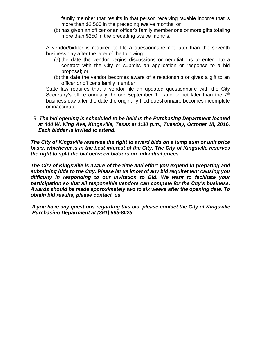family member that results in that person receiving taxable income that is more than \$2,500 in the preceding twelve months; or

(b) has given an officer or an officer's family member one or more gifts totaling more than \$250 in the preceding twelve months.

A vendor/bidder is required to file a questionnaire not later than the seventh business day after the later of the following:

- (a) the date the vendor begins discussions or negotiations to enter into a contract with the City or submits an application or response to a bid proposal; or
- (b) the date the vendor becomes aware of a relationship or gives a gift to an officer or officer's family member.

State law requires that a vendor file an updated questionnaire with the City Secretary's office annually, before September  $1<sup>st</sup>$ , and or not later than the  $7<sup>th</sup>$ business day after the date the originally filed questionnaire becomes incomplete or inaccurate

#### 19. *The bid opening is scheduled to be held in the Purchasing Department located at 400 W. King Ave, Kingsville, Texas at 1:30 p.m., Tuesday, October 18, 2016. Each bidder is invited to attend.*

*The City of Kingsville reserves the right to award bids on a lump sum or unit price*  **basis, whichever is in the best interest of the City. The City of Kingsville reserves** *the right to split the bid between bidders on individual prices.*

*The City of Kingsville is aware of the time and effort you expend in preparing and submitting bids to the City. Please let us know of any bid requirement causing you difficulty in responding to our Invitation to Bid. We want to facilitate your participation so that all responsible vendors can compete for the City's business. Awards should be made approximately two to six weeks after the opening date. To obtain bid results, please contact us.*

*If you have any questions regarding this bid, please contact the City of Kingsville Purchasing Department at (361) 595-8025.*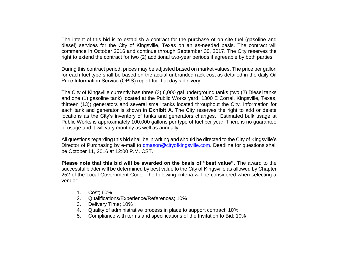The intent of this bid is to establish a contract for the purchase of on-site fuel (gasoline and diesel) services for the City of Kingsville, Texas on an as-needed basis. The contract will commence in October 2016 and continue through September 30, 2017. The City reserves the right to extend the contract for two (2) additional two-year periods if agreeable by both parties.

During this contract period, prices may be adjusted based on market values. The price per gallon for each fuel type shall be based on the actual unbranded rack cost as detailed in the daily Oil Price Information Service (OPIS) report for that day's delivery.

The City of Kingsville currently has three (3) 6,000 gal underground tanks (two (2) Diesel tanks and one (1) gasoline tank) located at the Public Works yard, 1300 E Corral, Kingsville, Texas, thirteen (13)) generators and several small tanks located throughout the City. Information for each tank and generator is shown in **Exhibit A.** The City reserves the right to add or delete locations as the City's inventory of tanks and generators changes. Estimated bulk usage at Public Works is approximately 100,000 gallons per type of fuel per year. There is no guarantee of usage and it will vary monthly as well as annually.

All questions regarding this bid shall be in writing and should be directed to the City of Kingsville's Director of Purchasing by e-mail to [dmason@cityofkingsville.com.](mailto:dmason@cityofkingsville.com) Deadline for questions shall be October 11, 2016 at 12:00 P.M. CST.

**Please note that this bid will be awarded on the basis of "best value".** The award to the successful bidder will be determined by best value to the City of Kingsville as allowed by Chapter 252 of the Local Government Code. The following criteria will be considered when selecting a vendor:

- 1. Cost; 60%
- 2. Qualifications/Experience/References; 10%
- 3. Delivery Time; 10%
- 4. Quality of administrative process in place to support contract; 10%
- 5. Compliance with terms and specifications of the Invitation to Bid; 10%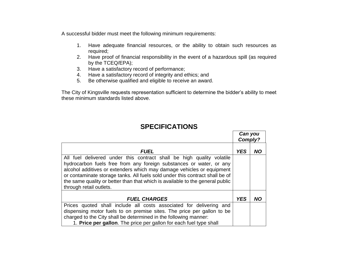A successful bidder must meet the following minimum requirements:

- 1. Have adequate financial resources, or the ability to obtain such resources as required;
- 2. Have proof of financial responsibility in the event of a hazardous spill (as required by the TCEQ/EPA);
- 3. Have a satisfactory record of performance;
- 4. Have a satisfactory record of integrity and ethics; and
- 5. Be otherwise qualified and eligible to receive an award.

The City of Kingsville requests representation sufficient to determine the bidder's ability to meet these minimum standards listed above.

### **SPECIFICATIONS**

*Can you* 

|                                                                                                                                                                                                                                                                                                                                                                                                                   | Gan you<br>Comply? |    |
|-------------------------------------------------------------------------------------------------------------------------------------------------------------------------------------------------------------------------------------------------------------------------------------------------------------------------------------------------------------------------------------------------------------------|--------------------|----|
| <b>FUEL</b>                                                                                                                                                                                                                                                                                                                                                                                                       | <b>YES</b>         | ΝO |
| All fuel delivered under this contract shall be high quality volatile<br>hydrocarbon fuels free from any foreign substances or water, or any<br>alcohol additives or extenders which may damage vehicles or equipment<br>or contaminate storage tanks. All fuels sold under this contract shall be of<br>the same quality or better than that which is available to the general public<br>through retail outlets. |                    |    |
| <b>FUEL CHARGES</b>                                                                                                                                                                                                                                                                                                                                                                                               | <b>YES</b>         | NΟ |
| Prices quoted shall include all costs associated for delivering and<br>dispensing motor fuels to on premise sites. The price per gallon to be<br>charged to the City shall be determined in the following manner:<br>1. Price per gallon. The price per gallon for each fuel type shall                                                                                                                           |                    |    |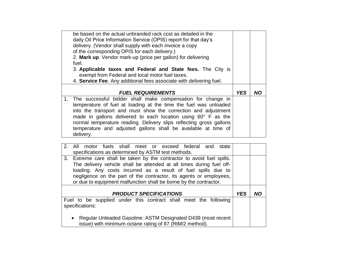| be based on the actual unbranded rack cost as detailed in the<br>daily Oil Price Information Service (OPIS) report for that day's<br>delivery. (Vendor shall supply with each invoice a copy<br>of the corresponding OPIS for each delivery.)<br>2. Mark up. Vendor mark-up (price per gallon) for delivering<br>fuel.<br>3. Applicable taxes and Federal and State fees. The City is<br>exempt from Federal and local motor fuel taxes.<br>4. Service Fee. Any additional fees associate with delivering fuel. |            |           |
|-----------------------------------------------------------------------------------------------------------------------------------------------------------------------------------------------------------------------------------------------------------------------------------------------------------------------------------------------------------------------------------------------------------------------------------------------------------------------------------------------------------------|------------|-----------|
| <b>FUEL REQUIREMENTS</b>                                                                                                                                                                                                                                                                                                                                                                                                                                                                                        | <b>YES</b> | <b>NO</b> |
| The successful bidder shall make compensation for change in<br>1 <sub>1</sub><br>temperature of fuel at loading at the time the fuel was unloaded<br>into the transport and must show the correction and adjustment<br>made in gallons delivered to each location using 60° F as the<br>normal temperature reading. Delivery slips reflecting gross gallons<br>temperature and adjusted gallons shall be available at time of<br>delivery.                                                                      |            |           |
|                                                                                                                                                                                                                                                                                                                                                                                                                                                                                                                 |            |           |
| 2.<br>fuels shall meet or<br>All<br>exceed federal<br>and<br>state<br>motor<br>specifications as determined by ASTM test methods.                                                                                                                                                                                                                                                                                                                                                                               |            |           |
| 3.<br>Extreme care shall be taken by the contractor to avoid fuel spills.<br>The delivery vehicle shall be attended at all times during fuel off-<br>loading. Any costs incurred as a result of fuel spills due to<br>negligence on the part of the contractor, its agents or employees,<br>or due to equipment malfunction shall be borne by the contractor.                                                                                                                                                   |            |           |
| <b>PRODUCT SPECIFICATIONS</b>                                                                                                                                                                                                                                                                                                                                                                                                                                                                                   | <b>YES</b> | <b>NO</b> |
| Fuel to be supplied under this contract shall meet the following<br>specifications:                                                                                                                                                                                                                                                                                                                                                                                                                             |            |           |
|                                                                                                                                                                                                                                                                                                                                                                                                                                                                                                                 |            |           |

 Regular Unleaded Gasoline: ASTM Designated D439 (most recent issue) with minimum octane rating of 87 (RtM/2 method).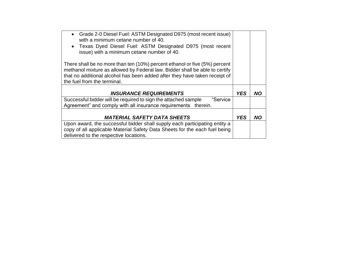| • Grade 2-0 Diesel Fuel: ASTM Designated D975 (most recent issue)<br>with a minimum cetane number of 40.  |            |           |
|-----------------------------------------------------------------------------------------------------------|------------|-----------|
| • Texas Dyed Diesel Fuel: ASTM Designated D975 (most recent<br>issue) with a minimum cetane number of 40. |            |           |
| There shall be no more than ten (10%) percent ethanol or five (5%) percent                                |            |           |
| methanol mixture as allowed by Federal law. Bidder shall be able to certify                               |            |           |
| that no additional alcohol has been added after they have taken receipt of<br>the fuel from the terminal. |            |           |
|                                                                                                           |            |           |
| <b>INSURANCE REQUIREMENTS</b>                                                                             | <b>YES</b> | NΟ        |
| Successful bidder will be required to sign the attached sample<br>"Service                                |            |           |
| Agreement" and comply with all insurance requirements therein.                                            |            |           |
|                                                                                                           |            |           |
| <b>MATERIAL SAFETY DATA SHEETS</b>                                                                        | <b>YES</b> | <b>NO</b> |
| Upon award, the successful bidder shall supply each participating entity a                                |            |           |
| copy of all applicable Material Safety Data Sheets for the each fuel being                                |            |           |
| delivered to the respective locations.                                                                    |            |           |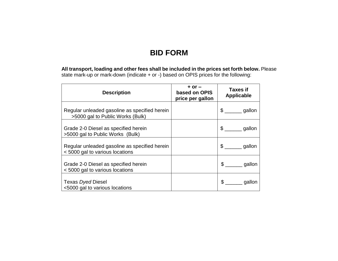## **BID FORM**

**All transport, loading and other fees shall be included in the prices set forth below.** Please state mark-up or mark-down (indicate + or -) based on OPIS prices for the following:

| <b>Description</b>                                                                | $+$ or $-$<br>based on OPIS<br>price per gallon | <b>Taxes if</b><br><b>Applicable</b> |
|-----------------------------------------------------------------------------------|-------------------------------------------------|--------------------------------------|
| Regular unleaded gasoline as specified herein<br>>5000 gal to Public Works (Bulk) |                                                 | $\frac{1}{2}$<br>gallon              |
| Grade 2-0 Diesel as specified herein<br>>5000 gal to Public Works (Bulk)          |                                                 | $\mathcal{S}$<br>gallon              |
| Regular unleaded gasoline as specified herein<br><5000 gal to various locations   |                                                 | $\mathbb{S}$<br>gallon               |
| Grade 2-0 Diesel as specified herein<br><5000 gal to various locations            |                                                 | $\mathbb{S}$<br>gallon               |
| Texas Dyed Diesel<br><5000 gal to various locations                               |                                                 | \$<br>gallon                         |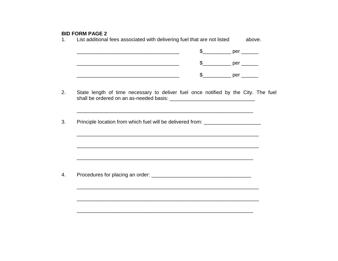#### **BID FORM PAGE 2**

List additional fees associated with delivering fuel that are not listed  $1<sub>1</sub>$ above.  $2.$ State length of time necessary to deliver fuel once notified by the City. The fuel  $3<sub>1</sub>$ Principle location from which fuel will be delivered from: <u> 1989 - Johann John Harry Harry Harry Harry Harry Harry Harry Harry Harry Harry Harry Harry Harry Harry Harry</u> Procedures for placing an order:  $4.$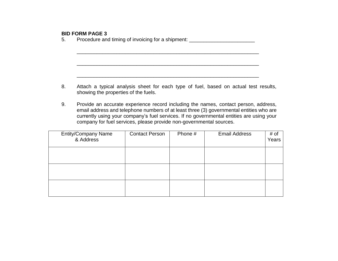#### **BID FORM PAGE 3**

5. Procedure and timing of invoicing for a shipment: \_\_\_\_\_\_\_\_\_\_\_\_\_\_\_\_\_\_\_\_\_\_\_\_\_\_\_

8. Attach a typical analysis sheet for each type of fuel, based on actual test results, showing the properties of the fuels.

\_\_\_\_\_\_\_\_\_\_\_\_\_\_\_\_\_\_\_\_\_\_\_\_\_\_\_\_\_\_\_\_\_\_\_\_\_\_\_\_\_\_\_\_\_\_\_\_\_\_\_\_\_\_\_\_\_\_\_\_\_\_\_\_

\_\_\_\_\_\_\_\_\_\_\_\_\_\_\_\_\_\_\_\_\_\_\_\_\_\_\_\_\_\_\_\_\_\_\_\_\_\_\_\_\_\_\_\_\_\_\_\_\_\_\_\_\_\_\_\_\_\_\_\_\_\_\_\_

\_\_\_\_\_\_\_\_\_\_\_\_\_\_\_\_\_\_\_\_\_\_\_\_\_\_\_\_\_\_\_\_\_\_\_\_\_\_\_\_\_\_\_\_\_\_\_\_\_\_\_\_\_\_\_\_\_\_\_\_\_\_\_\_

9. Provide an accurate experience record including the names, contact person, address, email address and telephone numbers of at least three (3) governmental entities who are currently using your company's fuel services. If no governmental entities are using your company for fuel services, please provide non-governmental sources.

| <b>Entity/Company Name</b><br>& Address | <b>Contact Person</b> | Phone # | <b>Email Address</b> | # of<br>Years |
|-----------------------------------------|-----------------------|---------|----------------------|---------------|
|                                         |                       |         |                      |               |
|                                         |                       |         |                      |               |
|                                         |                       |         |                      |               |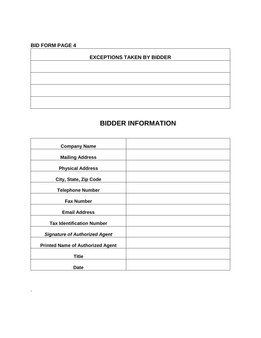## **BID FORM PAGE 4**

**.**

#### **EXCEPTIONS TAKEN BY BIDDER**

## **BIDDER INFORMATION**

| <b>Company Name</b>                     |  |
|-----------------------------------------|--|
| <b>Mailing Address</b>                  |  |
| <b>Physical Address</b>                 |  |
| City, State, Zip Code                   |  |
| <b>Telephone Number</b>                 |  |
| <b>Fax Number</b>                       |  |
| <b>Email Address</b>                    |  |
| <b>Tax Identification Number</b>        |  |
| <b>Signature of Authorized Agent</b>    |  |
| <b>Printed Name of Authorized Agent</b> |  |
| <b>Title</b>                            |  |
| <b>Date</b>                             |  |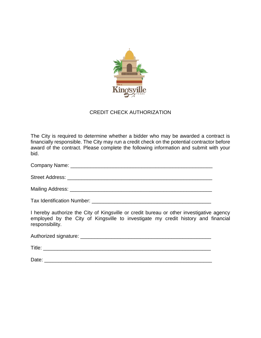

#### CREDIT CHECK AUTHORIZATION

The City is required to determine whether a bidder who may be awarded a contract is financially responsible. The City may run a credit check on the potential contractor before award of the contract. Please complete the following information and submit with your bid.

Company Name: \_\_\_\_\_\_\_\_\_\_\_\_\_\_\_\_\_\_\_\_\_\_\_\_\_\_\_\_\_\_\_\_\_\_\_\_\_\_\_\_\_\_\_\_\_\_\_\_\_\_

Street Address: \_\_\_\_\_\_\_\_\_\_\_\_\_\_\_\_\_\_\_\_\_\_\_\_\_\_\_\_\_\_\_\_\_\_\_\_\_\_\_\_\_\_\_\_\_\_\_\_\_\_\_

Mailing Address: \_\_\_\_\_\_\_\_\_\_\_\_\_\_\_\_\_\_\_\_\_\_\_\_\_\_\_\_\_\_\_\_\_\_\_\_\_\_\_\_\_\_\_\_\_\_\_\_\_\_

Tax Identification Number: \_\_\_\_\_\_\_\_\_\_\_\_\_\_\_\_\_\_\_\_\_\_\_\_\_\_\_\_\_\_\_\_\_\_\_\_\_\_\_\_\_\_

I hereby authorize the City of Kingsville or credit bureau or other investigative agency employed by the City of Kingsville to investigate my credit history and financial responsibility.

Authorized signature:  $\blacksquare$ 

Title:  $\blacksquare$ 

Date: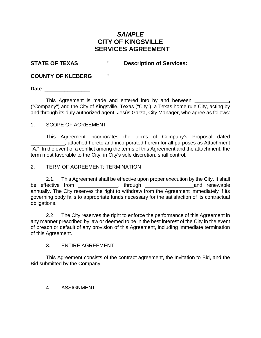#### *SAMPLE* **CITY OF KINGSVILLE SERVICES AGREEMENT**

#### **STATE OF TEXAS ' Description of Services:**

#### **COUNTY OF KLEBERG '**

**Date**: \_\_\_\_\_\_\_\_\_\_\_\_\_\_\_\_

This Agreement is made and entered into by and between **\_\_\_\_\_\_\_\_\_\_\_\_,** ("Company") and the City of Kingsville, Texas ("City"), a Texas home rule City, acting by and through its duly authorized agent, Jesús Garza, City Manager, who agree as follows:

#### 1. SCOPE OF AGREEMENT

This Agreement incorporates the terms of Company's Proposal dated **Example 2**, attached hereto and incorporated herein for all purposes as Attachment "A." In the event of a conflict among the terms of this Agreement and the attachment, the term most favorable to the City, in City's sole discretion, shall control.

#### 2. TERM OF AGREEMENT; TERMINATION

2.1. This Agreement shall be effective upon proper execution by the City. It shall be effective from \_\_\_\_\_\_\_\_\_\_\_\_\_\_, through \_\_\_\_\_\_\_\_\_\_\_\_\_\_\_\_\_and renewable annually. The City reserves the right to withdraw from the Agreement immediately if its governing body fails to appropriate funds necessary for the satisfaction of its contractual obligations.

2.2 The City reserves the right to enforce the performance of this Agreement in any manner prescribed by law or deemed to be in the best interest of the City in the event of breach or default of any provision of this Agreement, including immediate termination of this Agreement.

#### 3. ENTIRE AGREEMENT

This Agreement consists of the contract agreement, the Invitation to Bid, and the Bid submitted by the Company.

#### 4. ASSIGNMENT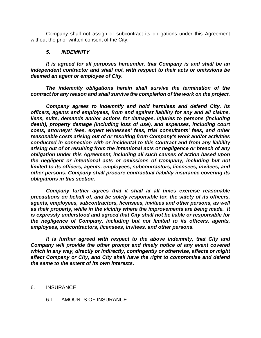Company shall not assign or subcontract its obligations under this Agreement without the prior written consent of the City.

#### *5. INDEMNITY*

*It is agreed for all purposes hereunder, that Company is and shall be an independent contractor and shall not, with respect to their acts or omissions be deemed an agent or employee of City.*

*The indemnity obligations herein shall survive the termination of the contract for any reason and shall survive the completion of the work on the project.*

*Company agrees to indemnify and hold harmless and defend City, its officers, agents and employees, from and against liability for any and all claims, liens, suits, demands and/or actions for damages, injuries to persons (including death), property damage (including loss of use), and expenses, including court costs, attorneys' fees, expert witnesses' fees, trial consultants' fees, and other reasonable costs arising out of or resulting from Company's work and/or activities conducted in connection with or incidental to this Contract and from any liability arising out of or resulting from the intentional acts or negligence or breach of any obligation under this Agreement, including all such causes of action based upon the negligent or intentional acts or omissions of Company, including but not limited to its officers, agents, employees, subcontractors, licensees, invitees, and other persons. Company shall procure contractual liability insurance covering its obligations in this section.*

*Company further agrees that it shall at all times exercise reasonable precautions on behalf of, and be solely responsible for, the safety of its officers, agents, employees, subcontractors, licensees, invitees and other persons, as well as their property, while in the vicinity where the improvements are being made. It is expressly understood and agreed that City shall not be liable or responsible for the negligence of Company, including but not limited to its officers, agents, employees, subcontractors, licensees, invitees, and other persons.*

*It is further agreed with respect to the above indemnity, that City and Company will provide the other prompt and timely notice of any event covered which in any way, directly or indirectly, contingently or otherwise, affects or might affect Company or City, and City shall have the right to compromise and defend the same to the extent of its own interests.*

#### 6. INSURANCE

#### 6.1 AMOUNTS OF INSURANCE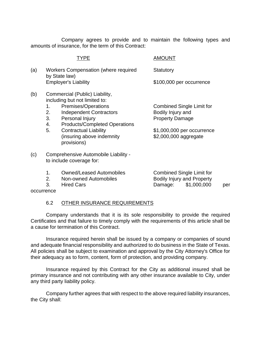Company agrees to provide and to maintain the following types and amounts of insurance, for the term of this Contract:

|     |                            | TYPE                                                                                                                                                                                                                                                            | <b>AMOUNT</b>                                                                                                                          |
|-----|----------------------------|-----------------------------------------------------------------------------------------------------------------------------------------------------------------------------------------------------------------------------------------------------------------|----------------------------------------------------------------------------------------------------------------------------------------|
| (a) |                            | Workers Compensation (where required<br>by State law)                                                                                                                                                                                                           | Statutory                                                                                                                              |
|     |                            | <b>Employer's Liability</b>                                                                                                                                                                                                                                     | \$100,000 per occurrence                                                                                                               |
| (b) | 1.<br>2.<br>3.<br>4.<br>5. | Commercial (Public) Liability,<br>including but not limited to:<br>Premises/Operations<br><b>Independent Contractors</b><br>Personal Injury<br><b>Products/Completed Operations</b><br><b>Contractual Liability</b><br>(insuring above indemnity<br>provisions) | <b>Combined Single Limit for</b><br>Bodily Injury and<br><b>Property Damage</b><br>\$1,000,000 per occurrence<br>\$2,000,000 aggregate |
| (c) |                            | Comprehensive Automobile Liability -<br>to include coverage for:                                                                                                                                                                                                |                                                                                                                                        |
|     | 1.                         | <b>Owned/Leased Automobiles</b>                                                                                                                                                                                                                                 | <b>Combined Single Limit for</b>                                                                                                       |

- 
- 
- 

2. Non-owned Automobiles Bodily Injury and Property 3. Hired Cars Damage: \$1,000,000 per

occurrence

#### 6.2 OTHER INSURANCE REQUIREMENTS

Company understands that it is its sole responsibility to provide the required Certificates and that failure to timely comply with the requirements of this article shall be a cause for termination of this Contract.

Insurance required herein shall be issued by a company or companies of sound and adequate financial responsibility and authorized to do business in the State of Texas. All policies shall be subject to examination and approval by the City Attorney's Office for their adequacy as to form, content, form of protection, and providing company.

Insurance required by this Contract for the City as additional insured shall be primary insurance and not contributing with any other insurance available to City, under any third party liability policy.

Company further agrees that with respect to the above required liability insurances, the City shall: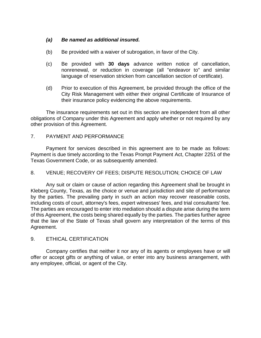#### *(a) Be named as additional insured.*

- (b) Be provided with a waiver of subrogation, in favor of the City.
- (c) Be provided with **30 days** advance written notice of cancellation, nonrenewal, or reduction in coverage (all "endeavor to" and similar language of reservation stricken from cancellation section of certificate).
- (d) Prior to execution of this Agreement, be provided through the office of the City Risk Management with either their original Certificate of Insurance of their insurance policy evidencing the above requirements.

The insurance requirements set out in this section are independent from all other obligations of Company under this Agreement and apply whether or not required by any other provision of this Agreement.

#### 7. PAYMENT AND PERFORMANCE

Payment for services described in this agreement are to be made as follows: Payment is due timely according to the Texas Prompt Payment Act, Chapter 2251 of the Texas Government Code, or as subsequently amended.

#### 8. VENUE; RECOVERY OF FEES; DISPUTE RESOLUTION; CHOICE OF LAW

Any suit or claim or cause of action regarding this Agreement shall be brought in Kleberg County, Texas, as the choice or venue and jurisdiction and site of performance by the parties. The prevailing party in such an action may recover reasonable costs, including costs of court, attorney's fees, expert witnesses' fees, and trial consultants' fee. The parties are encouraged to enter into mediation should a dispute arise during the term of this Agreement, the costs being shared equally by the parties. The parties further agree that the law of the State of Texas shall govern any interpretation of the terms of this Agreement.

#### 9. ETHICAL CERTIFICATION

Company certifies that neither it nor any of its agents or employees have or will offer or accept gifts or anything of value, or enter into any business arrangement, with any employee, official, or agent of the City.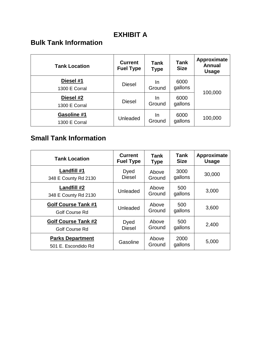## **EXHIBIT A**

## **Bulk Tank Information**

| <b>Tank Location</b>                | <b>Current</b><br><b>Fuel Type</b> | Tank<br><b>Type</b> | <b>Tank</b><br><b>Size</b> | Approximate<br><b>Annual</b><br><b>Usage</b> |  |
|-------------------------------------|------------------------------------|---------------------|----------------------------|----------------------------------------------|--|
| Diesel #1<br>1300 E Corral          | <b>Diesel</b>                      | In.<br>Ground       | 6000<br>gallons            |                                              |  |
| Diesel #2<br>1300 E Corral          | <b>Diesel</b>                      | In.<br>Ground       | 6000<br>gallons            | 100,000                                      |  |
| <b>Gasoline #1</b><br>1300 E Corral | Unleaded                           | In.<br>Ground       | 6000<br>gallons            | 100,000                                      |  |

## **Small Tank Information**

| <b>Tank Location</b>                                | <b>Current</b>   | Tank            | Tank            | Approximate  |
|-----------------------------------------------------|------------------|-----------------|-----------------|--------------|
|                                                     | <b>Fuel Type</b> | <b>Type</b>     | <b>Size</b>     | <b>Usage</b> |
| Landfill #1                                         | Dyed             | Above           | 3000            | 30,000       |
| 348 E County Rd 2130                                | <b>Diesel</b>    | Ground          | gallons         |              |
| Landfill #2<br>348 E County Rd 2130                 | Unleaded         | Above<br>Ground | 500<br>gallons  | 3,000        |
| <b>Golf Course Tank #1</b><br><b>Golf Course Rd</b> | Unleaded         | Above<br>Ground | 500<br>gallons  | 3,600        |
| <b>Golf Course Tank #2</b>                          | Dyed             | Above           | 500             | 2,400        |
| Golf Course Rd                                      | <b>Diesel</b>    | Ground          | gallons         |              |
| <b>Parks Department</b><br>501 E. Escondido Rd      | Gasoline         | Above<br>Ground | 2000<br>gallons | 5,000        |